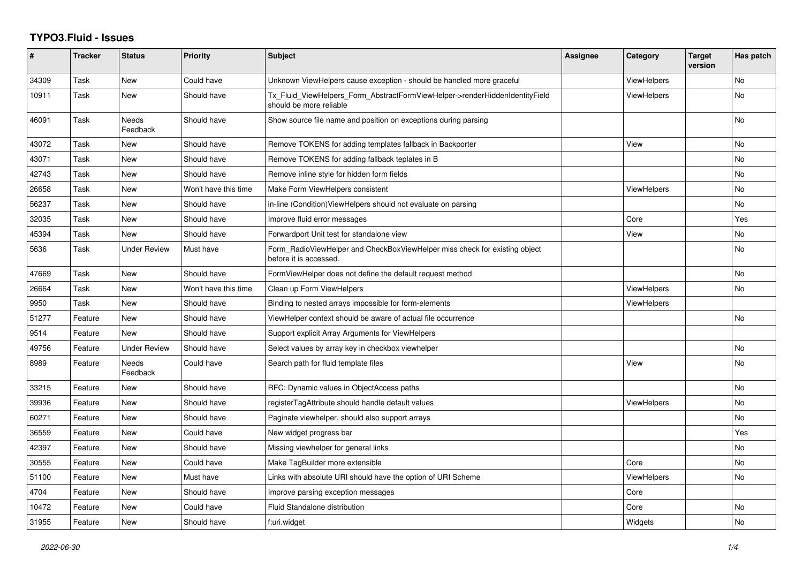## **TYPO3.Fluid - Issues**

| #     | <b>Tracker</b> | <b>Status</b>            | <b>Priority</b>      | <b>Subject</b>                                                                                         | Assignee | Category           | <b>Target</b><br>version | Has patch |
|-------|----------------|--------------------------|----------------------|--------------------------------------------------------------------------------------------------------|----------|--------------------|--------------------------|-----------|
| 34309 | Task           | New                      | Could have           | Unknown ViewHelpers cause exception - should be handled more graceful                                  |          | <b>ViewHelpers</b> |                          | <b>No</b> |
| 10911 | Task           | New                      | Should have          | Tx_Fluid_ViewHelpers_Form_AbstractFormViewHelper->renderHiddenIdentityField<br>should be more reliable |          | <b>ViewHelpers</b> |                          | <b>No</b> |
| 46091 | Task           | <b>Needs</b><br>Feedback | Should have          | Show source file name and position on exceptions during parsing                                        |          |                    |                          | <b>No</b> |
| 43072 | Task           | New                      | Should have          | Remove TOKENS for adding templates fallback in Backporter                                              |          | View               |                          | <b>No</b> |
| 43071 | Task           | New                      | Should have          | Remove TOKENS for adding fallback teplates in B                                                        |          |                    |                          | <b>No</b> |
| 42743 | Task           | <b>New</b>               | Should have          | Remove inline style for hidden form fields                                                             |          |                    |                          | <b>No</b> |
| 26658 | Task           | <b>New</b>               | Won't have this time | Make Form ViewHelpers consistent                                                                       |          | <b>ViewHelpers</b> |                          | No.       |
| 56237 | Task           | New                      | Should have          | in-line (Condition) View Helpers should not evaluate on parsing                                        |          |                    |                          | No        |
| 32035 | Task           | New                      | Should have          | Improve fluid error messages                                                                           |          | Core               |                          | Yes       |
| 45394 | Task           | New                      | Should have          | Forwardport Unit test for standalone view                                                              |          | View               |                          | No        |
| 5636  | Task           | <b>Under Review</b>      | Must have            | Form_RadioViewHelper and CheckBoxViewHelper miss check for existing object<br>before it is accessed.   |          |                    |                          | <b>No</b> |
| 47669 | Task           | New                      | Should have          | FormViewHelper does not define the default request method                                              |          |                    |                          | <b>No</b> |
| 26664 | Task           | New                      | Won't have this time | Clean up Form ViewHelpers                                                                              |          | <b>ViewHelpers</b> |                          | No        |
| 9950  | Task           | <b>New</b>               | Should have          | Binding to nested arrays impossible for form-elements                                                  |          | <b>ViewHelpers</b> |                          |           |
| 51277 | Feature        | <b>New</b>               | Should have          | ViewHelper context should be aware of actual file occurrence                                           |          |                    |                          | No        |
| 9514  | Feature        | New                      | Should have          | Support explicit Array Arguments for ViewHelpers                                                       |          |                    |                          |           |
| 49756 | Feature        | <b>Under Review</b>      | Should have          | Select values by array key in checkbox viewhelper                                                      |          |                    |                          | <b>No</b> |
| 8989  | Feature        | Needs<br>Feedback        | Could have           | Search path for fluid template files                                                                   |          | View               |                          | No        |
| 33215 | Feature        | New                      | Should have          | RFC: Dynamic values in ObjectAccess paths                                                              |          |                    |                          | No        |
| 39936 | Feature        | <b>New</b>               | Should have          | registerTagAttribute should handle default values                                                      |          | <b>ViewHelpers</b> |                          | <b>No</b> |
| 60271 | Feature        | New                      | Should have          | Paginate viewhelper, should also support arrays                                                        |          |                    |                          | No        |
| 36559 | Feature        | <b>New</b>               | Could have           | New widget progress bar                                                                                |          |                    |                          | Yes       |
| 42397 | Feature        | New                      | Should have          | Missing viewhelper for general links                                                                   |          |                    |                          | <b>No</b> |
| 30555 | Feature        | New                      | Could have           | Make TagBuilder more extensible                                                                        |          | Core               |                          | No        |
| 51100 | Feature        | <b>New</b>               | Must have            | Links with absolute URI should have the option of URI Scheme                                           |          | <b>ViewHelpers</b> |                          | <b>No</b> |
| 4704  | Feature        | New                      | Should have          | Improve parsing exception messages                                                                     |          | Core               |                          |           |
| 10472 | Feature        | New                      | Could have           | <b>Fluid Standalone distribution</b>                                                                   |          | Core               |                          | No        |
| 31955 | Feature        | New                      | Should have          | f:uri.widget                                                                                           |          | Widgets            |                          | No        |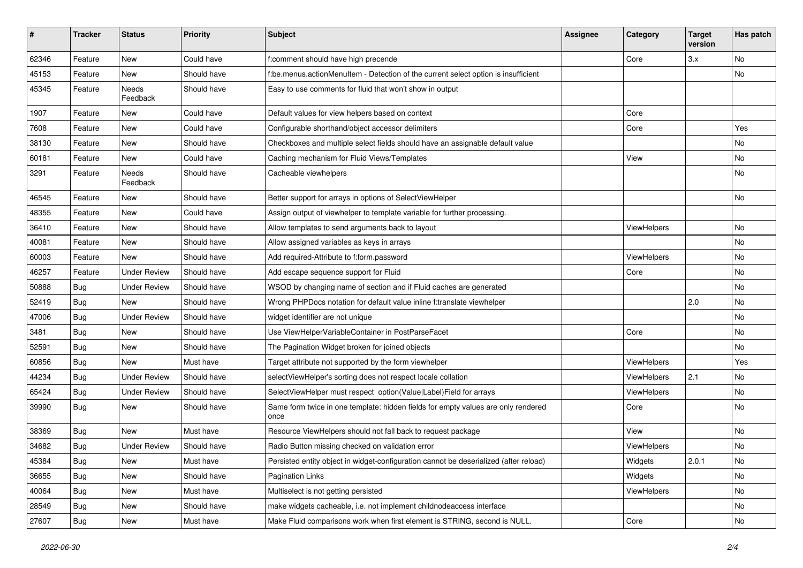| #     | <b>Tracker</b> | <b>Status</b>       | <b>Priority</b> | <b>Subject</b>                                                                            | <b>Assignee</b> | Category    | <b>Target</b><br>version | Has patch |
|-------|----------------|---------------------|-----------------|-------------------------------------------------------------------------------------------|-----------------|-------------|--------------------------|-----------|
| 62346 | Feature        | New                 | Could have      | f:comment should have high precende                                                       |                 | Core        | 3.x                      | <b>No</b> |
| 45153 | Feature        | New                 | Should have     | f:be.menus.actionMenuItem - Detection of the current select option is insufficient        |                 |             |                          | No        |
| 45345 | Feature        | Needs<br>Feedback   | Should have     | Easy to use comments for fluid that won't show in output                                  |                 |             |                          |           |
| 1907  | Feature        | New                 | Could have      | Default values for view helpers based on context                                          |                 | Core        |                          |           |
| 7608  | Feature        | New                 | Could have      | Configurable shorthand/object accessor delimiters                                         |                 | Core        |                          | Yes       |
| 38130 | Feature        | New                 | Should have     | Checkboxes and multiple select fields should have an assignable default value             |                 |             |                          | No        |
| 60181 | Feature        | New                 | Could have      | Caching mechanism for Fluid Views/Templates                                               |                 | View        |                          | No        |
| 3291  | Feature        | Needs<br>Feedback   | Should have     | Cacheable viewhelpers                                                                     |                 |             |                          | No        |
| 46545 | Feature        | New                 | Should have     | Better support for arrays in options of SelectViewHelper                                  |                 |             |                          | No        |
| 48355 | Feature        | New                 | Could have      | Assign output of viewhelper to template variable for further processing.                  |                 |             |                          |           |
| 36410 | Feature        | New                 | Should have     | Allow templates to send arguments back to layout                                          |                 | ViewHelpers |                          | No        |
| 40081 | Feature        | New                 | Should have     | Allow assigned variables as keys in arrays                                                |                 |             |                          | No        |
| 60003 | Feature        | New                 | Should have     | Add required-Attribute to f:form.password                                                 |                 | ViewHelpers |                          | No        |
| 46257 | Feature        | <b>Under Review</b> | Should have     | Add escape sequence support for Fluid                                                     |                 | Core        |                          | No        |
| 50888 | Bug            | <b>Under Review</b> | Should have     | WSOD by changing name of section and if Fluid caches are generated                        |                 |             |                          | No        |
| 52419 | Bug            | New                 | Should have     | Wrong PHPDocs notation for default value inline f:translate viewhelper                    |                 |             | 2.0                      | No        |
| 47006 | Bug            | <b>Under Review</b> | Should have     | widget identifier are not unique                                                          |                 |             |                          | No        |
| 3481  | Bug            | New                 | Should have     | Use ViewHelperVariableContainer in PostParseFacet                                         |                 | Core        |                          | No        |
| 52591 | Bug            | New                 | Should have     | The Pagination Widget broken for joined objects                                           |                 |             |                          | No        |
| 60856 | Bug            | New                 | Must have       | Target attribute not supported by the form viewhelper                                     |                 | ViewHelpers |                          | Yes       |
| 44234 | Bug            | <b>Under Review</b> | Should have     | selectViewHelper's sorting does not respect locale collation                              |                 | ViewHelpers | 2.1                      | No        |
| 65424 | Bug            | <b>Under Review</b> | Should have     | SelectViewHelper must respect option(Value Label)Field for arrays                         |                 | ViewHelpers |                          | No        |
| 39990 | Bug            | New                 | Should have     | Same form twice in one template: hidden fields for empty values are only rendered<br>once |                 | Core        |                          | <b>No</b> |
| 38369 | Bug            | New                 | Must have       | Resource ViewHelpers should not fall back to request package                              |                 | View        |                          | <b>No</b> |
| 34682 | Bug            | <b>Under Review</b> | Should have     | Radio Button missing checked on validation error                                          |                 | ViewHelpers |                          | No        |
| 45384 | <b>Bug</b>     | New                 | Must have       | Persisted entity object in widget-configuration cannot be deserialized (after reload)     |                 | Widgets     | 2.0.1                    | No        |
| 36655 | Bug            | New                 | Should have     | <b>Pagination Links</b>                                                                   |                 | Widgets     |                          | No        |
| 40064 | Bug            | New                 | Must have       | Multiselect is not getting persisted                                                      |                 | ViewHelpers |                          | No        |
| 28549 | Bug            | New                 | Should have     | make widgets cacheable, i.e. not implement childnodeaccess interface                      |                 |             |                          | No        |
| 27607 | <b>Bug</b>     | New                 | Must have       | Make Fluid comparisons work when first element is STRING, second is NULL.                 |                 | Core        |                          | No        |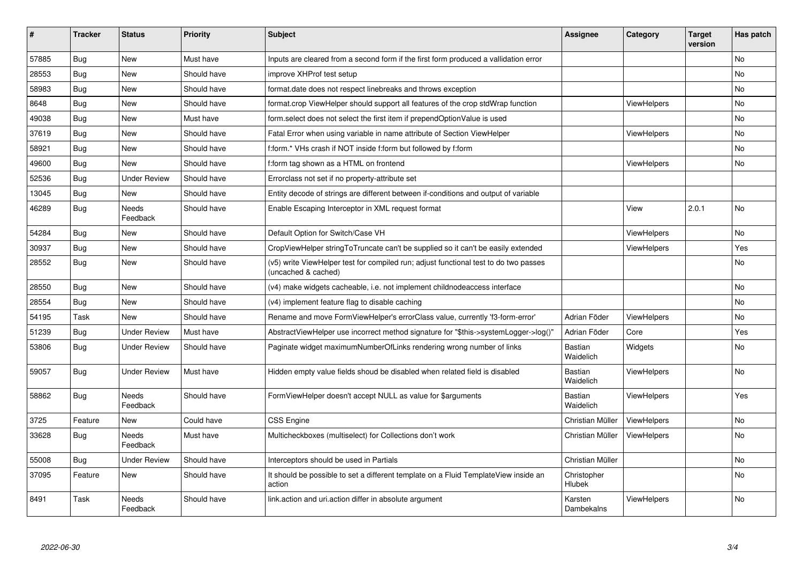| #     | <b>Tracker</b> | <b>Status</b>       | <b>Priority</b> | <b>Subject</b>                                                                                              | <b>Assignee</b>             | Category           | <b>Target</b><br>version | Has patch |
|-------|----------------|---------------------|-----------------|-------------------------------------------------------------------------------------------------------------|-----------------------------|--------------------|--------------------------|-----------|
| 57885 | <b>Bug</b>     | New                 | Must have       | Inputs are cleared from a second form if the first form produced a vallidation error                        |                             |                    |                          | <b>No</b> |
| 28553 | Bug            | New                 | Should have     | improve XHProf test setup                                                                                   |                             |                    |                          | No        |
| 58983 | Bug            | New                 | Should have     | format.date does not respect linebreaks and throws exception                                                |                             |                    |                          | <b>No</b> |
| 8648  | Bug            | <b>New</b>          | Should have     | format.crop ViewHelper should support all features of the crop stdWrap function                             |                             | <b>ViewHelpers</b> |                          | <b>No</b> |
| 49038 | Bug            | New                 | Must have       | form.select does not select the first item if prependOptionValue is used                                    |                             |                    |                          | <b>No</b> |
| 37619 | <b>Bug</b>     | New                 | Should have     | Fatal Error when using variable in name attribute of Section ViewHelper                                     |                             | ViewHelpers        |                          | No        |
| 58921 | Bug            | New                 | Should have     | f:form.* VHs crash if NOT inside f:form but followed by f:form                                              |                             |                    |                          | <b>No</b> |
| 49600 | <b>Bug</b>     | New                 | Should have     | f:form tag shown as a HTML on frontend                                                                      |                             | ViewHelpers        |                          | No        |
| 52536 | <b>Bug</b>     | Under Review        | Should have     | Errorclass not set if no property-attribute set                                                             |                             |                    |                          |           |
| 13045 | <b>Bug</b>     | New                 | Should have     | Entity decode of strings are different between if-conditions and output of variable                         |                             |                    |                          |           |
| 46289 | Bug            | Needs<br>Feedback   | Should have     | Enable Escaping Interceptor in XML request format                                                           |                             | View               | 2.0.1                    | <b>No</b> |
| 54284 | Bug            | New                 | Should have     | Default Option for Switch/Case VH                                                                           |                             | <b>ViewHelpers</b> |                          | <b>No</b> |
| 30937 | <b>Bug</b>     | <b>New</b>          | Should have     | CropViewHelper stringToTruncate can't be supplied so it can't be easily extended                            |                             | ViewHelpers        |                          | Yes       |
| 28552 | Bug            | New                 | Should have     | (v5) write ViewHelper test for compiled run; adjust functional test to do two passes<br>(uncached & cached) |                             |                    |                          | <b>No</b> |
| 28550 | Bug            | <b>New</b>          | Should have     | (v4) make widgets cacheable, i.e. not implement childnodeaccess interface                                   |                             |                    |                          | <b>No</b> |
| 28554 | Bug            | New                 | Should have     | (v4) implement feature flag to disable caching                                                              |                             |                    |                          | <b>No</b> |
| 54195 | Task           | New                 | Should have     | Rename and move FormViewHelper's errorClass value, currently 'f3-form-error'                                | Adrian Föder                | <b>ViewHelpers</b> |                          | <b>No</b> |
| 51239 | <b>Bug</b>     | Under Review        | Must have       | AbstractViewHelper use incorrect method signature for "\$this->systemLogger->log()"                         | Adrian Föder                | Core               |                          | Yes       |
| 53806 | Bug            | <b>Under Review</b> | Should have     | Paginate widget maximumNumberOfLinks rendering wrong number of links                                        | <b>Bastian</b><br>Waidelich | Widgets            |                          | No        |
| 59057 | Bug            | Under Review        | Must have       | Hidden empty value fields shoud be disabled when related field is disabled                                  | <b>Bastian</b><br>Waidelich | <b>ViewHelpers</b> |                          | No        |
| 58862 | Bug            | Needs<br>Feedback   | Should have     | FormViewHelper doesn't accept NULL as value for \$arguments                                                 | <b>Bastian</b><br>Waidelich | ViewHelpers        |                          | Yes       |
| 3725  | Feature        | New                 | Could have      | <b>CSS Engine</b>                                                                                           | Christian Müller            | ViewHelpers        |                          | No        |
| 33628 | <b>Bug</b>     | Needs<br>Feedback   | Must have       | Multicheckboxes (multiselect) for Collections don't work                                                    | Christian Müller            | <b>ViewHelpers</b> |                          | No        |
| 55008 | Bug            | Under Review        | Should have     | Interceptors should be used in Partials                                                                     | Christian Müller            |                    |                          | No        |
| 37095 | Feature        | New                 | Should have     | It should be possible to set a different template on a Fluid TemplateView inside an<br>action               | Christopher<br>Hlubek       |                    |                          | No        |
| 8491  | Task           | Needs<br>Feedback   | Should have     | link.action and uri.action differ in absolute argument                                                      | Karsten<br>Dambekalns       | <b>ViewHelpers</b> |                          | No        |